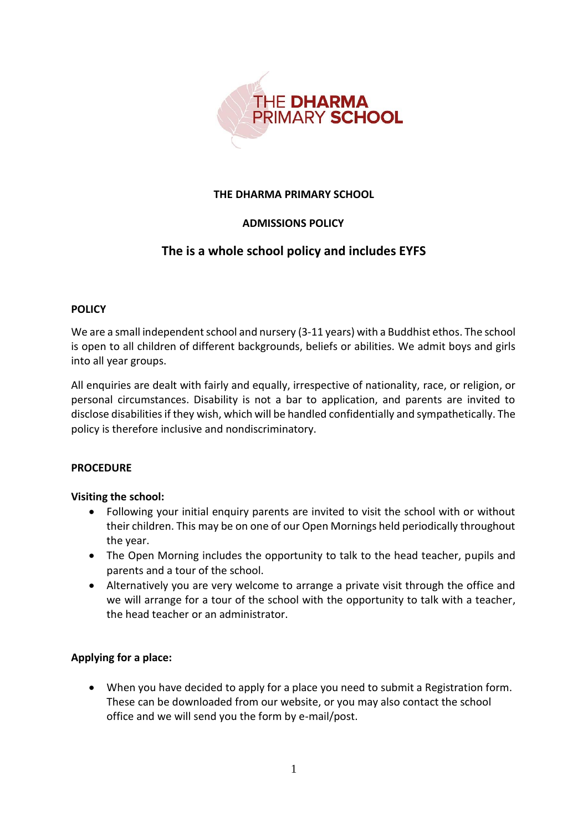

## **THE DHARMA PRIMARY SCHOOL**

# **ADMISSIONS POLICY**

# **The is a whole school policy and includes EYFS**

## **POLICY**

We are a small independent school and nursery (3-11 years) with a Buddhist ethos. The school is open to all children of different backgrounds, beliefs or abilities. We admit boys and girls into all year groups.

All enquiries are dealt with fairly and equally, irrespective of nationality, race, or religion, or personal circumstances. Disability is not a bar to application, and parents are invited to disclose disabilities if they wish, which will be handled confidentially and sympathetically. The policy is therefore inclusive and nondiscriminatory.

#### **PROCEDURE**

#### **Visiting the school:**

- Following your initial enquiry parents are invited to visit the school with or without their children. This may be on one of our Open Mornings held periodically throughout the year.
- The Open Morning includes the opportunity to talk to the head teacher, pupils and parents and a tour of the school.
- Alternatively you are very welcome to arrange a private visit through the office and we will arrange for a tour of the school with the opportunity to talk with a teacher, the head teacher or an administrator.

# **Applying for a place:**

 When you have decided to apply for a place you need to submit a Registration form. These can be downloaded from our website, or you may also contact the school office and we will send you the form by e-mail/post.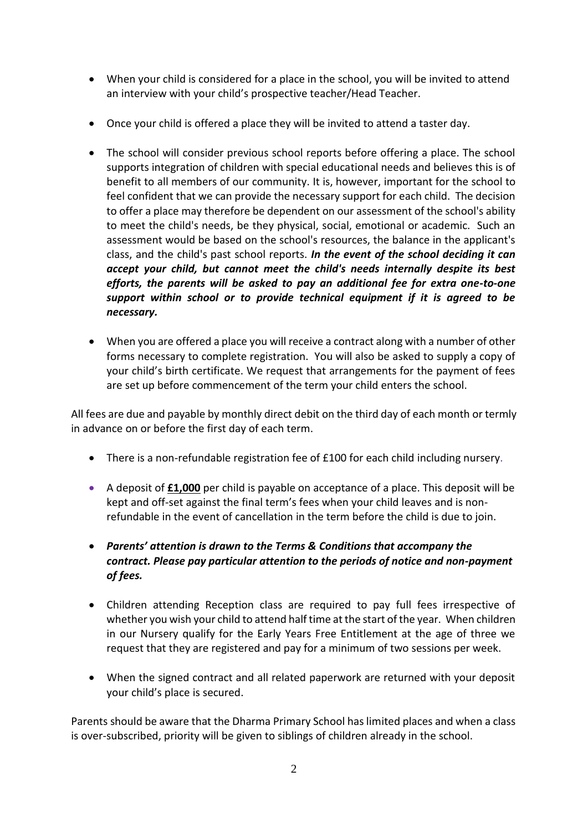- When your child is considered for a place in the school, you will be invited to attend an interview with your child's prospective teacher/Head Teacher.
- Once your child is offered a place they will be invited to attend a taster day.
- The school will consider previous school reports before offering a place. The school supports integration of children with special educational needs and believes this is of benefit to all members of our community. It is, however, important for the school to feel confident that we can provide the necessary support for each child. The decision to offer a place may therefore be dependent on our assessment of the school's ability to meet the child's needs, be they physical, social, emotional or academic. Such an assessment would be based on the school's resources, the balance in the applicant's class, and the child's past school reports. *In the event of the school deciding it can accept your child, but cannot meet the child's needs internally despite its best efforts, the parents will be asked to pay an additional fee for extra one-to-one support within school or to provide technical equipment if it is agreed to be necessary.*
- When you are offered a place you will receive a contract along with a number of other forms necessary to complete registration. You will also be asked to supply a copy of your child's birth certificate. We request that arrangements for the payment of fees are set up before commencement of the term your child enters the school.

All fees are due and payable by monthly direct debit on the third day of each month or termly in advance on or before the first day of each term.

- There is a non-refundable registration fee of £100 for each child including nursery.
- A deposit of **£1,000** per child is payable on acceptance of a place. This deposit will be kept and off-set against the final term's fees when your child leaves and is nonrefundable in the event of cancellation in the term before the child is due to join.
- *Parents' attention is drawn to the Terms & Conditions that accompany the contract. Please pay particular attention to the periods of notice and non-payment of fees.*
- Children attending Reception class are required to pay full fees irrespective of whether you wish your child to attend half time at the start of the year. When children in our Nursery qualify for the Early Years Free Entitlement at the age of three we request that they are registered and pay for a minimum of two sessions per week.
- When the signed contract and all related paperwork are returned with your deposit your child's place is secured.

Parents should be aware that the Dharma Primary School has limited places and when a class is over-subscribed, priority will be given to siblings of children already in the school.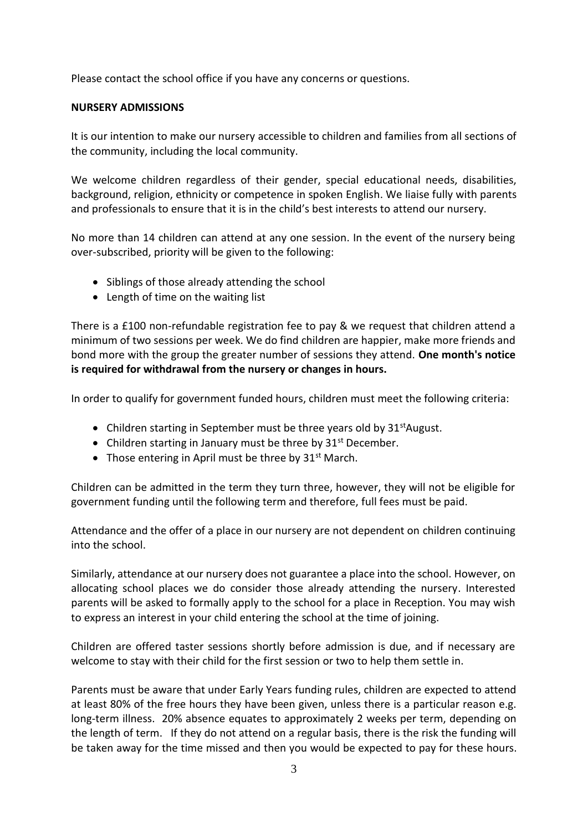Please contact the school office if you have any concerns or questions.

## **NURSERY ADMISSIONS**

It is our intention to make our nursery accessible to children and families from all sections of the community, including the local community.

We welcome children regardless of their gender, special educational needs, disabilities, background, religion, ethnicity or competence in spoken English. We liaise fully with parents and professionals to ensure that it is in the child's best interests to attend our nursery.

No more than 14 children can attend at any one session. In the event of the nursery being over-subscribed, priority will be given to the following:

- Siblings of those already attending the school
- Length of time on the waiting list

There is a £100 non-refundable registration fee to pay & we request that children attend a minimum of two sessions per week. We do find children are happier, make more friends and bond more with the group the greater number of sessions they attend. **One month's notice is required for withdrawal from the nursery or changes in hours.**

In order to qualify for government funded hours, children must meet the following criteria:

- Children starting in September must be three years old by  $31<sup>st</sup>$ August.
- Children starting in January must be three by  $31<sup>st</sup>$  December.
- Those entering in April must be three by  $31<sup>st</sup>$  March.

Children can be admitted in the term they turn three, however, they will not be eligible for government funding until the following term and therefore, full fees must be paid.

Attendance and the offer of a place in our nursery are not dependent on children continuing into the school.

Similarly, attendance at our nursery does not guarantee a place into the school. However, on allocating school places we do consider those already attending the nursery. Interested parents will be asked to formally apply to the school for a place in Reception. You may wish to express an interest in your child entering the school at the time of joining.

Children are offered taster sessions shortly before admission is due, and if necessary are welcome to stay with their child for the first session or two to help them settle in.

Parents must be aware that under Early Years funding rules, children are expected to attend at least 80% of the free hours they have been given, unless there is a particular reason e.g. long-term illness. 20% absence equates to approximately 2 weeks per term, depending on the length of term. If they do not attend on a regular basis, there is the risk the funding will be taken away for the time missed and then you would be expected to pay for these hours.